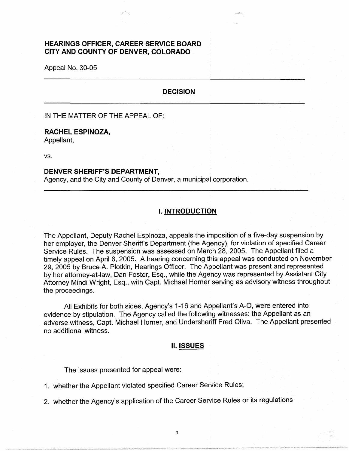# **HEARINGS OFFICER, CAREER SERVICE BOARD CITY AND COUNTY OF DENVER, COLORADO**

Appeal No. 30-05

### **DECISION**

IN THE MATTER OF THE APPEAL OF:

# **RACHEL ESPINOZA,**

Appellant,

vs.

### **DENVER SHERIFF'S DEPARTMENT,**

Agency, and the City and County of Denver, a municipal corporation.

### I. **INTRODUCTION**

The Appellant, Deputy Rachel Espinoza, appeals the imposition of a five-day suspension by her employer, the Denver Sheriff's Department (the Agency), for violation of specified Career Service Rules. The suspension was assessed on March 28, 2005. The Appellant filed a timely appeal on April 6, 2005. A hearing concerning this appeal was conducted on November 29, 2005 by Bruce A. Plotkin, Hearings Officer. The Appellant was present and represented by her attorney-at-law, Dan Foster, Esq., while the Agency was represented by Assistant City Attorney Mindi Wright, Esq., with Capt. Michael Horner serving as advisory witness throughout the proceedings.

All Exhibits for both sides, Agency's 1-16 and Appellant's A-O, were entered into evidence by stipulation. The Agency called the following witnesses: the Appellant as an adverse witness, Capt. Michael Horner, and Undersheriff Fred Oliva. The Appellant presented no additional witness.

#### **II. ISSUES**

The issues presented for appeal were:

1. whether the Appellant violated specified Career Service Rules;

2. whether the Agency's application of the Career Service Rules or its regulations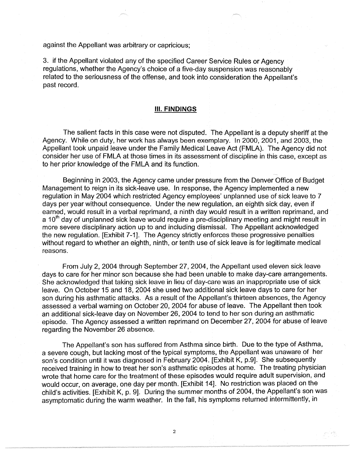against the Appellant was arbitrary or capricious;

3. if the Appellant violated any of the specified Career Service Rules or Agency regulations, whether the Agency's choice of a five-day suspension was reasonably related to the seriousness of the offense, and took into consideration the Appellant's past record.

#### Ill. **FINDINGS**

The salient facts in this case were not disputed. The Appellant is a deputy sheriff at the Agency. While on duty, her work has always been exemplary. In 2000, 2001, and 2003, the Appellant took unpaid leave under the Family Medical Leave Act (FMLA). The Agency did not consider her use of FMLA at those times in its assessment of discipline in this case, except as to her prior knowledge of the FMLA and its function.

Beginning in 2003, the Agency came under pressure from the Denver Office of Budget Management to reign in its sick-leave use. In response, the Agency implemented a new regulation in May 2004 which restricted Agency employees' unplanned use of sick leave to 7 days per year without consequence. Under the new regulation, an eighth sick day, even if earned, would result in a verbal reprimand, a ninth day would result in a written reprimand, and a 10<sup>th</sup> day of unplanned sick leave would require a pre-disciplinary meeting and might result in more severe disciplinary action up to and including dismissal. The Appellant acknowledged the new regulation. [Exhibit 7-1]. The Agency strictly enforces these progressive penalties without regard to whether an eighth, ninth, or tenth use of sick leave is for legitimate medical reasons.

From July 2, 2004 through September 27, 2004, the Appellant used eleven sick leave days to care for her minor son because she had been unable to make day-care arrangements. She acknowledged that taking sick leave in lieu of day-care was an inappropriate use of sick leave. On October 15 and 18, 2004 she used two additional sick leave days to care for her son during his asthmatic attacks. As a result of the Appellant's thirteen absences, the Agency assessed a verbal warning on October 20, 2004 for abuse of leave. The Appellant then took an additional sick-leave day on November 26, 2004 to tend to her son during an asthmatic episode. The Agency assessed a written reprimand on December 27, 2004 for abuse of leave regarding the November 26 absence.

The Appellant's son has suffered from Asthma since birth. Due to the type of Asthma, a severe cough, but lacking most of the typical symptoms, the Appellant was unaware of her son's condition until it was diagnosed in February 2004. [Exhibit K, p.9]. She subsequently received training in how to treat her son's asthmatic episodes at home. The treating physician wrote that home care for the treatment of these episodes would require adult supervision, and would occur, on average, one day per month. [Exhibit 14]. No restriction was placed on the child's activities. [Exhibit K, p. 9]. During the summer months of 2004, the Appellant's son was asymptomatic during the warm weather. In the fall, his symptoms returned intermittently, in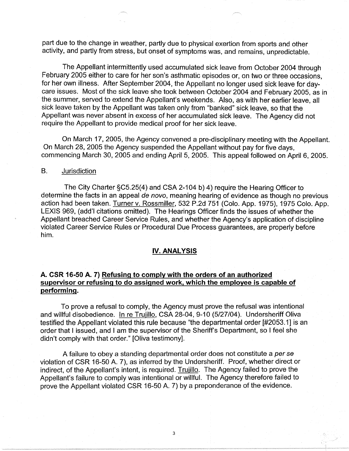part due to the change in weather, partly due to physical exertion from sports and other activity, and partly from stress, but onset of symptoms was, and remains, unpredictable.

The Appellant intermittently used accumulated sick leave from October 2004 through February 2005 either to care for her son's asthmatic episodes or, on two or three occasions, for her own illness. After September 2004, the Appellant no longer used sick leave for daycare issues. Most of the sick leave she took between October 2004 and February 2005, as in the summer, served to extend the Appellant's weekends. Also, as with her earlier leave, all sick leave taken by the Appellant was taken only from "banked" sick leave, so that the Appellant was never absent in excess of her accumulated sick leave. The Agency did not require the Appellant to provide medical proof for her sick leave.

On March 17, 2005, the Agency convened a pre-disciplinary meeting with the Appellant. On March 28, 2005 the Agency suspended the Appellant without pay for five days, commencing March 30, 2005 and ending April 5, 2005. This appeal followed on April 6, 2005.

### B. Jurisdiction

The City Charter §C5.25(4) and CSA 2-104 b) 4) require the Hearing Officer to determine the facts in an appeal de novo, meaning hearing of evidence as though no previous action had been taken. Turner v. Rossmiller, 532 P.2d 751 (Colo. App. 1975), 1975 Colo. App. LEXIS 969, (add'I citations omitted). The Hearings Officer finds the issues of whether the Appellant breached Career Service Rules, and whether the Agency's application of discipline violated Career Service Rules or Procedural Due Process guarantees, are properly before him.

#### **IV. ANALYSIS**

# **A. CSR 16-50 A. 7) Refusing to comply with the orders of an authorized supervisor or refusing to do assigned work, which the employee is capable of performing.**

To prove a refusal to comply, the Agency must prove the refusal was intentional and willful disobedience. In re Trujillo, CSA 28-04, 9-10 (5/27/04). Undersheriff Oliva testified the Appellant violated this rule because "the departmental order [#2053.1] is an order that I issued, and I am the supervisor of the Sheriff's Department, so I feel she didn't comply with that order." [Oliva testimony].

A failure to obey a standing departmental order does not constitute a per se violation of CSR 16-50 A. 7), as inferred by the Undersheriff. Proof, whether direct or indirect, of the Appellant's intent, is required. Trujillo. The Agency failed to prove the Appellant's failure to comply was intentional or willful. The Agency therefore failed to prove the Appellant violated CSR 16-50 A. 7) by a preponderance of the evidence.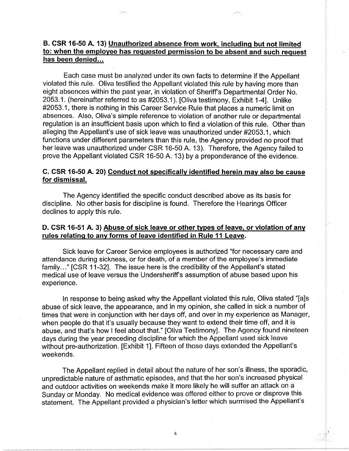# **B. CSR 16-50 A. 13) Unauthorized absence from work, including but not limited to: when the employee has requested permission to be absent and such request**  has been denied...

Each case must be analyzed under its own facts to determine if the Appellant violated this rule. Oliva testified the Appellant violated this rule by having more than eight absences within the past year, in violation of Sheriff's Departmental Order No. 2053.1. (hereinafter referred to as #2053.1 ). [Oliva testimony, Exhibit 1-4]. Unlike #2053.1, there is nothing in this Career Service Rule that places a numeric limit on absences. Also, Oliva's simple reference to violation of another rule or departmental regulation is an insufficient basis upon which to find a violation of this rule. Other than alleging the Appellant's use of sick leave was unauthorized under #2053.1, which functions under different parameters than this rule, the Agency provided no proof that her leave was unauthorized under CSR 16-50 A. 13). Therefore, the Agency failed to prove the Appellant violated CSR 16-50 A. 13) by a preponderance of the evidence.

# **C. CSR 16-50 A. 20) Conduct not specifically identified herein may also be cause for dismissal.**

The Agency identified the specific conduct described above as its basis for discipline. No other basis for discipline is found. Therefore the Hearings Officer declines to apply this rule.

## **D. CSR 16-51 A. 3) Abuse of sick leave or other types of leave, or violation of any rules relating to any forms of leave identified in Rule 11 Leave.**

Sick leave for Career Service employees is authorized "for necessary care and attendance during sickness, or for death, of a member of the employee's immediate family..." [CSR 11-32]. The issue here is the credibility of the Appellant's stated medical use of leave versus the Undersheriff's assumption of abuse based upon his experience.

In response to being asked why the Appellant violated this rule, Oliva stated "[a]s abuse of sick leave, the appearance, and in my opinion, she called in sick a number of times that were in conjunction with her days off, and over in my experience as Manager, when people do that it's usually because they want to extend their time off, and it is abuse, and that's how I feel about that." [Oliva Testimony]. The Agency found nineteen days during the year preceding discipline for which the Appellant used sick leave without pre-authorization. [Exhibit 1]. Fifteen of those days extended the Appellant's weekends.

The Appellant replied in detail about the nature of her son's illness, the sporadic, unpredictable nature of asthmatic episodes, and that the her son's increased physical and outdoor activities on weekends make it more likely he will suffer an attack on a Sunday or Monday. No medical evidence was offered either to prove or disprove this statement. The Appellant provided a physician's letter which surmised the Appellant's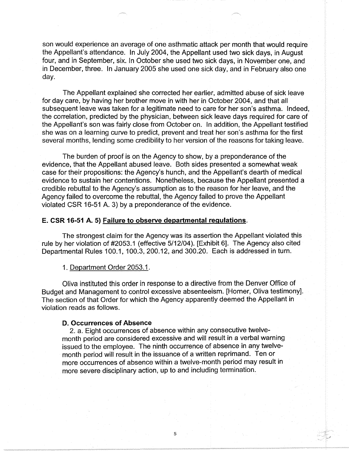son would experience an average of one asthmatic attack per month that would require the Appellant's attendance. In July 2004, the Appellant used two sick days, in August four, and in September, six. In October she used two sick days, in November one, and in December, three. In January 2005 she used one sick day, and in February also one day.

The Appellant explained she corrected her earlier, admitted abuse of sick leave for day care, by having her brother move in with her in October 2004, and that all subsequent leave was taken for a legitimate need to care for her son's asthma. Indeed, the correlation, predicted by the physician, between sick leave days required for care of the Appellant's son was fairly close from October on. In addition, the Appellant testified she was on a learning curve to predict, prevent and treat her son's asthma for the first several months, lending some credibility to her version of the reasons for taking leave.

The burden of proof is on the Agency to show, by a preponderance of the evidence, that the Appellant abused leave. Both sides presented a somewhat weak case for their propositions: the Agency's hunch, and the Appellant's dearth of medical evidence to sustain her contentions. Nonetheless, because the Appellant presented a credible rebuttal to the Agency's assumption as to the reason for her leave, and the Agency failed to overcome the rebuttal, the Agency failed to prove the Appellant violated CSR 16-51 A. 3) by a preponderance of the evidence.

#### **E. CSR 16-51 A. 5) Failure to observe departmental regulations.**

The strongest claim for the Agency was its assertion the Appellant violated this rule by her violation of #2053.1 ( effective 5/12/04 ). [Exhibit 6]. The Agency also cited Departmental Rules 100.1, 100.3, 200.12, and 300.20. Each is addressed in turn.

1. Department Order 2053.1.

Oliva instituted this order in response to a directive from the Denver Office of Budget and Management to control excessive absenteeism. [Horner, Oliva testimony]. The section of that Order for which the Agency apparently deemed the Appellant in violation reads as follows.

### **D. Occurrences of Absence**

2. a. Eight occurrences of absence within any consecutive twelvemonth period are considered excessive and will result in a verbal warning issued to the employee. The ninth occurrence of absence in any twelvemonth period will result in the issuance of a written reprimand. Ten or more occurrences of absence within a twelve-month period may result in more severe disciplinary action, up to and including termination.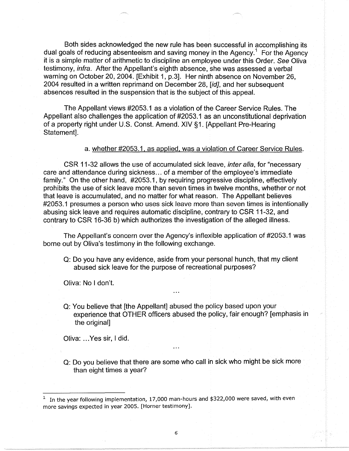Both sides acknowledged the new rule has been successful in accomplishing its dual goals of reducing absenteeism and saving money in the Agency.<sup>1</sup> For the Agency it is a simple matter of arithmetic to discipline an employee under this Order. See Oliva testimony, infra. After the Appellant's eighth absence, she was assessed a verbal warning on October 20, 2004. [Exhibit 1, p.3]. Her ninth absence on November 26, 2004 resulted in a written reprimand on December 28, [id], and her subsequent absences resulted in the suspension that is the subject of this appeal.

The Appellant views #2053.1 as a violation of the Career Service Rules. The Appellant also challenges the application of #2053.1 as an unconstitutional deprivation of a property right under U.S. Const. Amend. XIV §1. [Appellant Pre-Hearing Statement].

a. whether #2053.1, as applied, was a violation of Career Service Rules.

CSR 11-32 allows the use of accumulated sick leave, inter alia, for "necessary care and attendance during sickness ... of a member of the employee's immediate family." On the other hand, #2053.1, by requiring progressive discipline, effectively prohibits the use of sick leave more than seven times in twelve months, whether or not that leave is accumulated, and no matter for what reason. The Appellant believes #2053.1 presumes a person who uses sick leave more than seven times is intentionally abusing sick leave and requires automatic discipline, contrary to CSR 11-32, and contrary to CSR 16-36 b) which authorizes the investigation of the alleged illness.

The Appellant's concern over the Agency's inflexible application of #2053.1 was borne out by Oliva's testimony in the following exchange.

Q: Do you have any evidence, aside from your personal hunch, that my client abused sick leave for the purpose of recreational purposes?

Oliva: No I don't.

Q: You believe that [the Appellant] abused the policy based upon your experience that OTHER officers abused the policy, fair enough? [emphasis in the original]

Oliva: ... Yes sir, I did.

Q: Do you believe that there are some who call in sick who might be sick more than eight times a year?

 $1$  In the year following implementation, 17,000 man-hours and \$322,000 were saved, with even more savings expected in year 2005. [Horner testimony].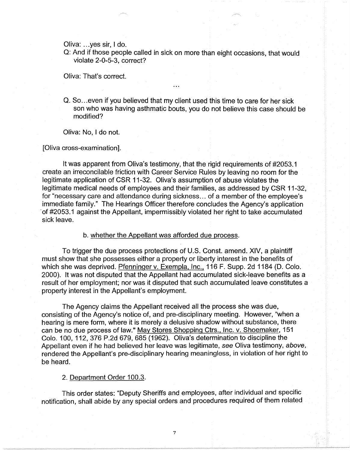Oliva: ... yes sir, I do.

Q: And if those people called in sick on more than eight occasions, that would violate 2-0-5-3, correct?

Oliva: That's correct.

Q. So... even if you believed that my client used this time to care for her sick son who was having asthmatic bouts, you do not believe this case should be modified?

Oliva: No, I do not.

[Oliva cross-examination].

It was apparent from Oliva's testimony, that the rigid requirements of #2053.1 create an irreconcilable friction with Career Service Rules by leaving no room for the legitimate application of CSR 11-32. Oliva's assumption of abuse violates the legitimate medical needs of employees and their families, as addressed by CSR 11-32, for "necessary care and attendance during sickness ... of a member of the employee's immediate family." The Hearings Officer therefore concludes the Agency's application of #2053.1 against the Appellant, impermissibly violated her right to take accumulated sick leave.

b. whether the Appellant was afforded due process.

To trigger the due process protections of U.S. Const. amend. **XIV,** a plaintiff must show that she possesses either a property or liberty interest in the benefits of which she was deprived. Pfenninger v. Exempla, Inc., 116 F. Supp. 2d 1184 (D. Colo. 2000). It was not disputed that the Appellant had accumulated sick-leave benefits as a result of her employment; nor was it disputed that such accumulated leave constitutes a property interest in the Appellant's employment.

The Agency claims the Appellant received all the process she was due, consisting of the Agency's notice of, and pre-disciplinary meeting. However, "when a hearing is mere form, where it is merely a delusive shadow without substance, there can be no due process of law." May Stores Shopping Ctrs., Inc. v. Shoemaker, 151 Colo. 100, 112, 376 P.2d 679,685 (1962). Oliva's determination to discipline the Appellant even if he had believed her leave was legitimate, see Oliva testimony, above, rendered the Appellant's pre-disciplinary hearing meaningless, in violation of her right to be heard.

#### 2. Department Order 100.3.

This order states: "Deputy Sheriffs and employees, after individual and specific notification, shall abide by any special orders and procedures required of them related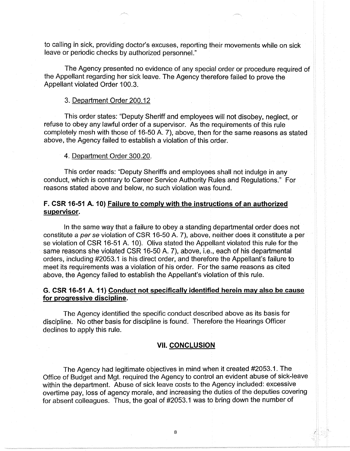to calling in sick, providing doctor's excuses, reporting their movements while on sick leave or periodic checks by authorized personnel."

The Agency presented no evidence of any special order or procedure required of the Appellant regarding her sick leave. The Agency therefore failed to prove the Appellant violated Order 100.3.

#### 3. Department Order 200.12

This order states: "Deputy Sheriff and employees will not disobey, neglect, or refuse to obey any lawful order of a supervisor. As the requirements of this rule completely mesh with those of 16-50 A. 7), above, then for the same reasons as stated above, the Agency failed to establish a violation of this order.

### 4. Department Order 300.20.

This order reads: "Deputy Sheriffs and employees shall not indulge in any conduct, which is contrary to Career Service Authority Rules and Regulations." For reasons stated above and below, no such violation was found.

# **F. CSR 16-51 A. 10) Failure to comply with the instructions of an authorized supervisor.**

In the same way that a failure to obey a standing departmental order does not constitute a per se violation of CSR 16-50 A. 7), above, neither does it constitute a per se violation of CSR 16-51 A. 10). Oliva stated the Appellant violated this rule for the same reasons she violated CSR 16-50 A. 7), above, i.e., each of his departmental orders, including #2053.1 is his direct order, and therefore the Appellant's failure to meet its requirements was a violation of his order. For the same reasons as cited above, the Agency failed to establish the Appellant's violation of this rule.

# **G. CSR 16-51 A. 11) Conduct not specifically identified herein may also be cause for progressive discipline.**

The Agency identified the specific conduct described above as its basis for discipline. No other basis for discipline is found. Therefore the Hearings Officer declines to apply this rule.

### **VII. CONCLUSION**

The Agency had legitimate objectives in mind when it created #2053.1. The Office of Budget and Mgt. required the Agency to control an evident abuse of sick-leave within the department. Abuse of sick leave costs to the Agency included: excessive overtime pay, loss of agency morale, and increasing the duties of the deputies covering for absent colleagues. Thus, the goal of #2053.1 was to bring down the number of